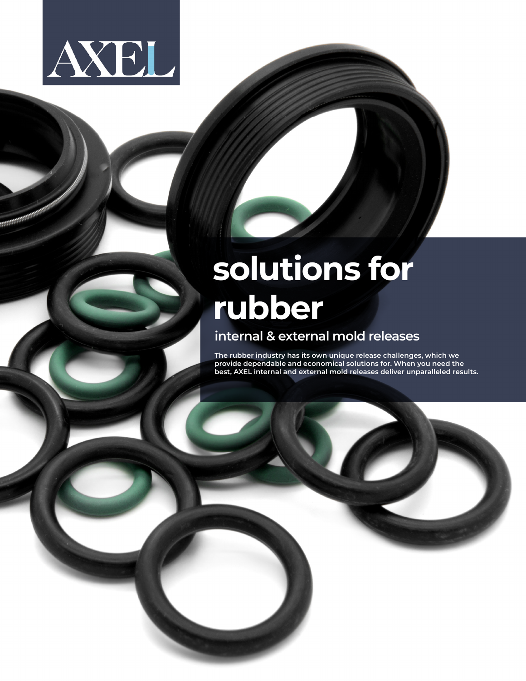

## **solutions for rubber internal & external mold releases**

**The rubber industry has its own unique release challenges, which we provide dependable and economical solutions for. When you need the best, AXEL internal and external mold releases deliver unparalleled results.**